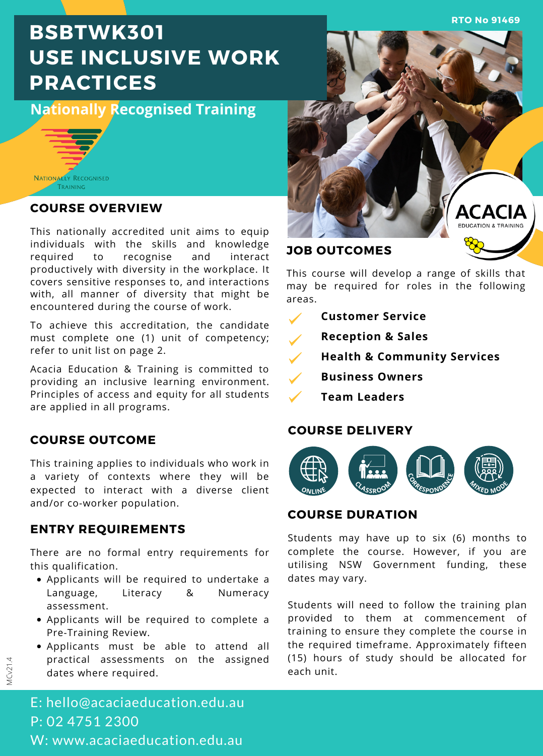**RTO No 91469**

# **BSBTWK301 USE INCLUSIVE WORK PRACTICES**

**Nationally Recognised Training**



### **COURSE OVERVIEW**

This nationally accredited unit aims to equip individuals with the skills and knowledge required to recognise and interact productively with diversity in the workplace. It covers sensitive responses to, and interactions with, all manner of diversity that might be encountered during the course of work.

To achieve this accreditation, the candidate must complete one (1) unit of competency; refer to unit list on page 2.

Acacia Education & Training is committed to providing an inclusive learning environment. Principles of access and equity for all students are applied in all programs.

# **COURSE OUTCOME**

This training applies to individuals who work in a variety of contexts where they will be expected to interact with a diverse client and/or co-worker population.

### **ENTRY REQUIREMENTS**

There are no formal entry requirements for this qualification.

- Applicants will be required to undertake a Language, Literacy & Numeracy assessment.
- Applicants will be required to complete a Pre-Training Review.
- Applicants must be able to attend all practical assessments on the assigned dates where required.



### **JOB OUTCOMES**

This course will develop a range of skills that may be required for roles in the following areas.

- **Customer Service**
	- **Reception & Sales**
- **Health & Community Services**  $\checkmark$
- **Business Owners**
	- **Team Leaders**

### **COURSE DELIVERY**



### **COURSE DURATION**

Students may have up to six (6) months to complete the course. However, if you are utilising NSW Government funding, these dates may vary.

Students will need to follow the training plan provided to them at commencement of training to ensure they complete the course in the required timeframe. Approximately fifteen (15) hours of study should be allocated for each unit.

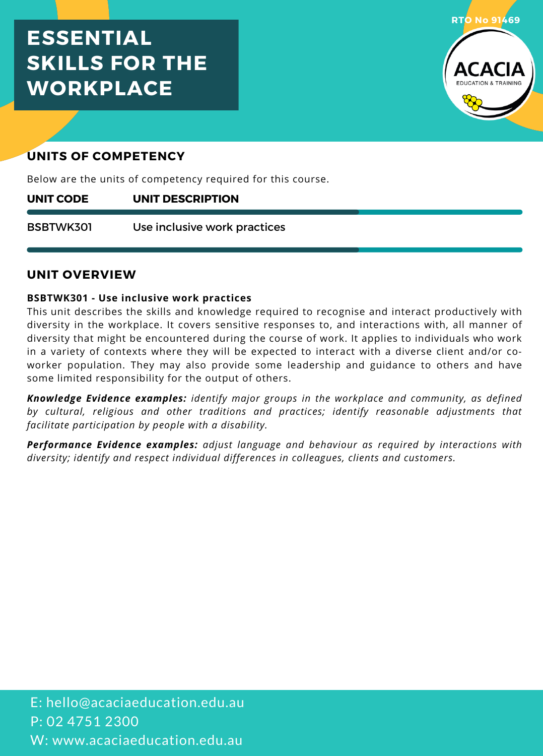# **ESSENTIAL SKILLS FOR THE WORKPLACE**



# **UNITS OF COMPETENCY**

Below are the units of competency required for this course.

#### **UNIT DESCRIPTION UNIT CODE**

Use inclusive work practices BSBTWK301

### **UNIT OVERVIEW**

### **BSBTWK301 - Use inclusive work practices**

This unit describes the skills and knowledge required to recognise and interact productively with diversity in the workplace. It covers sensitive responses to, and interactions with, all manner of diversity that might be encountered during the course of work. It applies to individuals who work in a variety of contexts where they will be expected to interact with a diverse client and/or co worker population. They may also provide some leadership and guidance to others and have some limited responsibility for the output of others.

*Knowledge Evidence examples: identify major groups in the workplace and community, as defined by cultural, religious and other traditions and practices; identify reasonable adjustments that facilitate participation by people with a disability.*

*Performance Evidence examples: adjust language and behaviour as required by interactions with diversity; identify and respect individual differences in colleagues, clients and customers.*